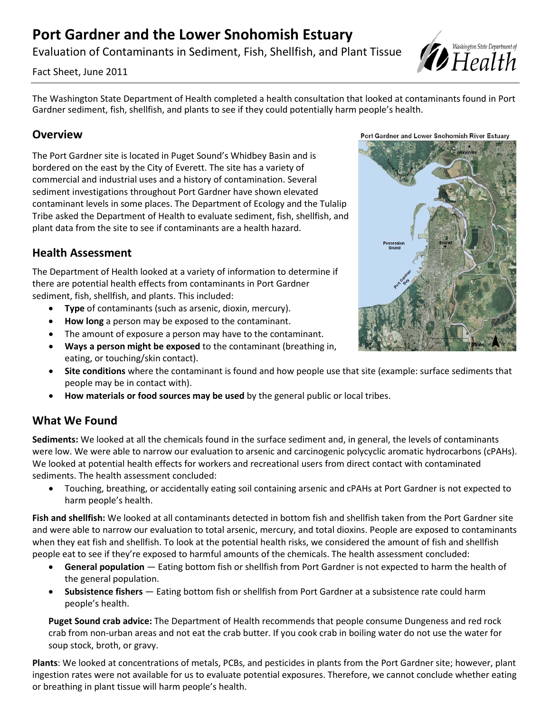# **Port Gardner and the Lower Snohomish Estuary**

Evaluation of Contaminants in Sediment, Fish, Shellfish, and Plant Tissue



Fact Sheet, June 2011

The Washington State Department of Health completed a health consultation that looked at contaminants found in Port Gardner sediment, fish, shellfish, and plants to see if they could potentially harm people's health.

### **Overview**

The Port Gardner site is located in Puget Sound's Whidbey Basin and is bordered on the east by the City of Everett. The site has a variety of commercial and industrial uses and a history of contamination. Several sediment investigations throughout Port Gardner have shown elevated contaminant levels in some places. The Department of Ecology and the Tulalip Tribe asked the Department of Health to evaluate sediment, fish, shellfish, and plant data from the site to see if contaminants are a health hazard.

## **Health Assessment**

The Department of Health looked at a variety of information to determine if there are potential health effects from contaminants in Port Gardner sediment, fish, shellfish, and plants. This included:

- **Type** of contaminants (such as arsenic, dioxin, mercury).
- **How long** a person may be exposed to the contaminant.
- The amount of exposure a person may have to the contaminant.
- **Ways a person might be exposed** to the contaminant (breathing in, eating, or touching/skin contact).
- **Site conditions** where the contaminant is found and how people use that site (example: surface sediments that people may be in contact with).
- **How materials or food sources may be used** by the general public or local tribes.

# **What We Found**

**Sediments:** We looked at all the chemicals found in the surface sediment and, in general, the levels of contaminants were low. We were able to narrow our evaluation to arsenic and carcinogenic polycyclic aromatic hydrocarbons (cPAHs). We looked at potential health effects for workers and recreational users from direct contact with contaminated sediments. The health assessment concluded:

• Touching, breathing, or accidentally eating soil containing arsenic and cPAHs at Port Gardner is not expected to harm people's health.

**Fish and shellfish:** We looked at all contaminants detected in bottom fish and shellfish taken from the Port Gardner site and were able to narrow our evaluation to total arsenic, mercury, and total dioxins. People are exposed to contaminants when they eat fish and shellfish. To look at the potential health risks, we considered the amount of fish and shellfish people eat to see if they're exposed to harmful amounts of the chemicals. The health assessment concluded:

- **General population** Eating bottom fish or shellfish from Port Gardner is not expected to harm the health of the general population.
- **Subsistence fishers**  Eating bottom fish or shellfish from Port Gardner at a subsistence rate could harm people's health.

**Puget Sound crab advice:** The Department of Health recommends that people consume Dungeness and red rock crab from non-urban areas and not eat the crab butter. If you cook crab in boiling water do not use the water for soup stock, broth, or gravy.

**Plants**: We looked at concentrations of metals, PCBs, and pesticides in plants from the Port Gardner site; however, plant ingestion rates were not available for us to evaluate potential exposures. Therefore, we cannot conclude whether eating or breathing in plant tissue will harm people's health.